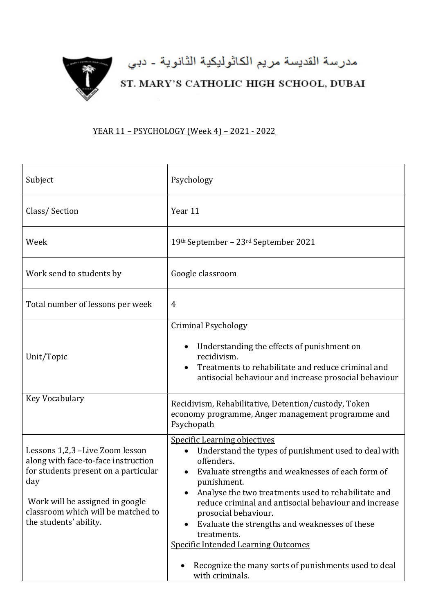

## YEAR 11 – PSYCHOLOGY (Week 4) – 2021 - 2022

| Subject                                                                                                                                                                                                                  | Psychology                                                                                                                                                                                                                                                                                                                                                                                                                                                                                                                                |
|--------------------------------------------------------------------------------------------------------------------------------------------------------------------------------------------------------------------------|-------------------------------------------------------------------------------------------------------------------------------------------------------------------------------------------------------------------------------------------------------------------------------------------------------------------------------------------------------------------------------------------------------------------------------------------------------------------------------------------------------------------------------------------|
| Class/Section                                                                                                                                                                                                            | Year 11                                                                                                                                                                                                                                                                                                                                                                                                                                                                                                                                   |
| Week                                                                                                                                                                                                                     | 19th September - 23rd September 2021                                                                                                                                                                                                                                                                                                                                                                                                                                                                                                      |
| Work send to students by                                                                                                                                                                                                 | Google classroom                                                                                                                                                                                                                                                                                                                                                                                                                                                                                                                          |
| Total number of lessons per week                                                                                                                                                                                         | $\overline{4}$                                                                                                                                                                                                                                                                                                                                                                                                                                                                                                                            |
| Unit/Topic                                                                                                                                                                                                               | <b>Criminal Psychology</b><br>Understanding the effects of punishment on<br>recidivism.<br>Treatments to rehabilitate and reduce criminal and<br>antisocial behaviour and increase prosocial behaviour                                                                                                                                                                                                                                                                                                                                    |
| Key Vocabulary                                                                                                                                                                                                           | Recidivism, Rehabilitative, Detention/custody, Token<br>economy programme, Anger management programme and<br>Psychopath                                                                                                                                                                                                                                                                                                                                                                                                                   |
| Lessons 1,2,3 -Live Zoom lesson<br>along with face-to-face instruction<br>for students present on a particular<br>day<br>Work will be assigned in google<br>classroom which will be matched to<br>the students' ability. | <b>Specific Learning objectives</b><br>Understand the types of punishment used to deal with<br>$\bullet$<br>offenders.<br>Evaluate strengths and weaknesses of each form of<br>punishment.<br>Analyse the two treatments used to rehabilitate and<br>reduce criminal and antisocial behaviour and increase<br>prosocial behaviour.<br>Evaluate the strengths and weaknesses of these<br>treatments.<br><b>Specific Intended Learning Outcomes</b><br>Recognize the many sorts of punishments used to deal<br>$\bullet$<br>with criminals. |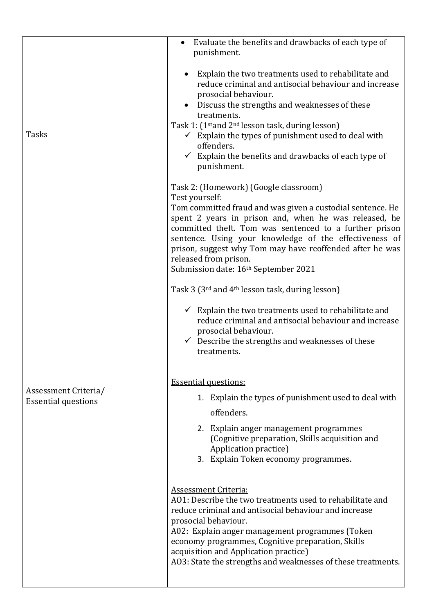|                                                    | Evaluate the benefits and drawbacks of each type of<br>punishment.                                                                                                                                                                                                                                                                                                                                                                                 |
|----------------------------------------------------|----------------------------------------------------------------------------------------------------------------------------------------------------------------------------------------------------------------------------------------------------------------------------------------------------------------------------------------------------------------------------------------------------------------------------------------------------|
| Tasks                                              | Explain the two treatments used to rehabilitate and<br>reduce criminal and antisocial behaviour and increase<br>prosocial behaviour.<br>Discuss the strengths and weaknesses of these<br>treatments.<br>Task 1: (1 <sup>st</sup> and 2 <sup>nd</sup> lesson task, during lesson)<br>$\checkmark$ Explain the types of punishment used to deal with<br>offenders.<br>$\checkmark$ Explain the benefits and drawbacks of each type of<br>punishment. |
|                                                    | Task 2: (Homework) (Google classroom)<br>Test yourself:<br>Tom committed fraud and was given a custodial sentence. He<br>spent 2 years in prison and, when he was released, he<br>committed theft. Tom was sentenced to a further prison<br>sentence. Using your knowledge of the effectiveness of<br>prison, suggest why Tom may have reoffended after he was<br>released from prison.<br>Submission date: 16 <sup>th</sup> September 2021        |
|                                                    | Task 3 (3 <sup>rd</sup> and 4 <sup>th</sup> lesson task, during lesson)                                                                                                                                                                                                                                                                                                                                                                            |
|                                                    | $\checkmark$ Explain the two treatments used to rehabilitate and<br>reduce criminal and antisocial behaviour and increase<br>prosocial behaviour.<br>$\checkmark$ Describe the strengths and weaknesses of these<br>treatments.                                                                                                                                                                                                                    |
|                                                    | <b>Essential questions:</b>                                                                                                                                                                                                                                                                                                                                                                                                                        |
| Assessment Criteria/<br><b>Essential questions</b> | 1. Explain the types of punishment used to deal with<br>offenders.                                                                                                                                                                                                                                                                                                                                                                                 |
|                                                    | 2. Explain anger management programmes<br>(Cognitive preparation, Skills acquisition and<br>Application practice)<br>3. Explain Token economy programmes.                                                                                                                                                                                                                                                                                          |
|                                                    | <b>Assessment Criteria:</b><br>A01: Describe the two treatments used to rehabilitate and<br>reduce criminal and antisocial behaviour and increase<br>prosocial behaviour.<br>A02: Explain anger management programmes (Token<br>economy programmes, Cognitive preparation, Skills<br>acquisition and Application practice)<br>A03: State the strengths and weaknesses of these treatments.                                                         |